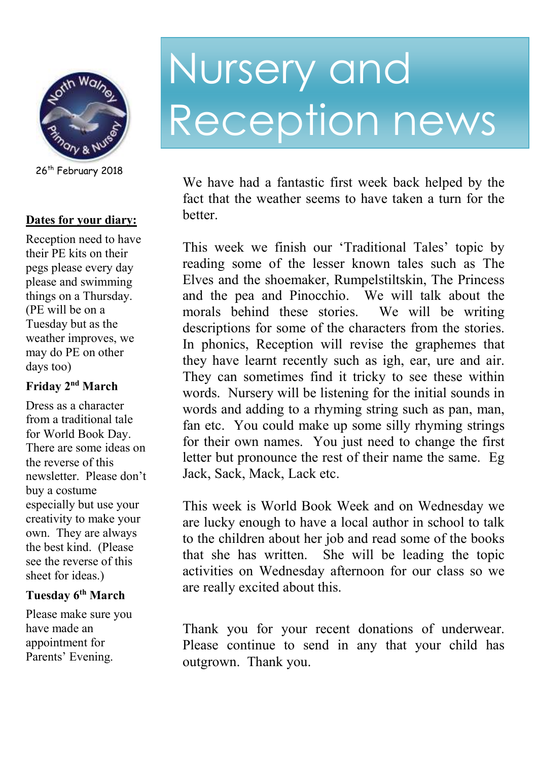

26<sup>th</sup> February 2018

#### **Dates for your diary:**

Reception need to have their PE kits on their pegs please every day please and swimming things on a Thursday. (PE will be on a Tuesday but as the weather improves, we may do PE on other days too)

### **Friday 2nd March**

Dress as a character from a traditional tale for World Book Day. There are some ideas on the reverse of this newsletter. Please don't buy a costume especially but use your creativity to make your own. They are always the best kind. (Please see the reverse of this sheet for ideas.)

#### **Tuesday 6th March**

Please make sure you have made an appointment for Parents' Evening.

# Nursery and Reception news

We have had a fantastic first week back helped by the fact that the weather seems to have taken a turn for the better.

This week we finish our 'Traditional Tales' topic by reading some of the lesser known tales such as The Elves and the shoemaker, Rumpelstiltskin, The Princess and the pea and Pinocchio. We will talk about the morals behind these stories. We will be writing descriptions for some of the characters from the stories. In phonics, Reception will revise the graphemes that they have learnt recently such as igh, ear, ure and air. They can sometimes find it tricky to see these within words. Nursery will be listening for the initial sounds in words and adding to a rhyming string such as pan, man, fan etc. You could make up some silly rhyming strings for their own names. You just need to change the first letter but pronounce the rest of their name the same. Eg Jack, Sack, Mack, Lack etc.

This week is World Book Week and on Wednesday we are lucky enough to have a local author in school to talk to the children about her job and read some of the books that she has written. She will be leading the topic activities on Wednesday afternoon for our class so we are really excited about this.

Thank you for your recent donations of underwear. Please continue to send in any that your child has outgrown. Thank you.